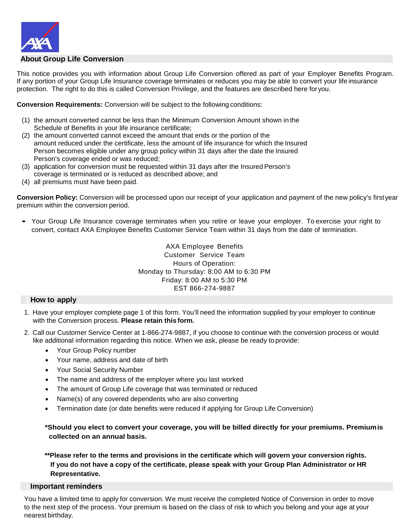

## **About Group Life Conversion**

This notice provides you with information about Group Life Conversion offered as part of your Employer Benefits Program. If any portion of your Group Life Insurance coverage terminates or reduces you may be able to convert your life insurance protection. The right to do this is called Conversion Privilege, and the features are described here for you.

**Conversion Requirements:** Conversion will be subject to the following conditions:

- (1) the amount converted cannot be less than the Minimum Conversion Amount shown in the Schedule of Benefits in your life insurance certificate;
- (2) the amount converted cannot exceed the amount that ends or the portion of the amount reduced under the certificate, less the amount of life insurance for which the Insured Person becomes eligible under any group policy within 31 days after the date the Insured Person's coverage ended or was reduced;
- (3) application for conversion must be requested within 31 days after the Insured Person's coverage is terminated or is reduced as described above; and
- (4) all premiums must have been paid.

**Conversion Policy:** Conversion will be processed upon our receipt of your application and payment of the new policy's firstyear premium within the conversion period.

• Your Group Life Insurance coverage terminates when you retire or leave your employer. To exercise your right to convert, contact AXA Employee Benefits Customer Service Team within 31 days from the date of termination.

> AXA Employee Benefits Customer Service Team Hours of Operation: Monday to Thursday: 8:00 AM to 6:30 PM Friday: 8:00 AM to 5:30 PM EST 866-274-9887

### **| How to apply**

- 1. Have your employer complete page 1 of this form. You'll need the information supplied by your employer to continue with the Conversion process. **Please retain this form.**
- 2. Call our Customer Service Center at 1-866-274-9887, if you choose to continue with the conversion process or would like additional information regarding this notice. When we ask, please be ready to provide:
	- Your Group Policy number
	- Your name, address and date of birth
	- Your Social Security Number
	- The name and address of the employer where you last worked
	- The amount of Group Life coverage that was terminated or reduced
	- Name(s) of any covered dependents who are also converting
	- Termination date (or date benefits were reduced if applying for Group Life Conversion)

**\*Should you elect to convert your coverage, you will be billed directly for your premiums. Premiumis collected on an annual basis.**

**\*\*Please refer to the terms and provisions in the certificate which will govern your conversion rights. If you do not have a copy of the certificate, please speak with your Group Plan Administrator or HR Representative.**

#### **| Important reminders**

You have a limited time to apply for conversion. We must receive the completed Notice of Conversion in order to move to the next step of the process. Your premium is based on the class of risk to which you belong and your age at your nearest birthday.